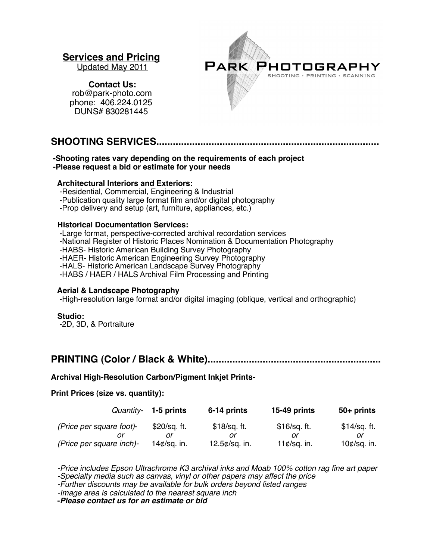# **Services and Pricing**<br>Updated May 2011

PARK PHOTOGRAPHY SHOOTING · PRINTING · SCANNING

 **Contact Us:**   [rob@park-photo.com](mailto:rob@park-photo.com) phone: 406.224.0125 DUNS# 830281445

# **SHOOTING SERVICES.................................................................................**

#### **-Shooting rates vary depending on the requirements of each project -Please request a bid or estimate for your needs**

#### **Architectural Interiors and Exteriors:**

-Residential, Commercial, Engineering & Industrial

-Publication quality large format film and/or digital photography

-Prop delivery and setup (art, furniture, appliances, etc.)

#### **Historical Documentation Services:**

 -Large format, perspective-corrected archival recordation services -National Register of Historic Places Nomination & Documentation Photography -HABS- Historic American Building Survey Photography -HAER- Historic American Engineering Survey Photography -HALS- Historic American Landscape Survey Photography -HABS / HAER / HALS Archival Film Processing and Printing

## **Aerial & Landscape Photography**

-High-resolution large format and/or digital imaging (oblique, vertical and orthographic)

#### **Studio:**

-2D, 3D, & Portraiture

# **PRINTING (Color / Black & White)...............................................................**

## **Archival High-Resolution Carbon/Pigment Inkjet Prints-**

## **Print Prices (size vs. quantity):**

|                          | Quantity- 1-5 prints      | 6-14 prints       | 15-49 prints              | 50+ prints      |
|--------------------------|---------------------------|-------------------|---------------------------|-----------------|
| (Price per square foot)- | \$20/sq. ft.              | \$18/sq. ft.      | \$16/sq. ft.              | $$14/sq.$ ft.   |
|                          |                           |                   |                           |                 |
| (Price per square inch)- | 14 $\mathcal{C}/sq$ . in. | 12.5 $¢$ /sq. in. | 11 $\mathcal{C}/sq$ . in. | 10 $¢$ /sq. in. |

 *-Price includes Epson Ultrachrome K3 archival inks and Moab 100% cotton rag fine art paper -Specialty media such as canvas, vinyl or other papers may affect the price*

 *-Further discounts may be available for bulk orders beyond listed ranges*

 *-Image area is calculated to the nearest square inch*

 **-***Please contact us for an estimate or bid*